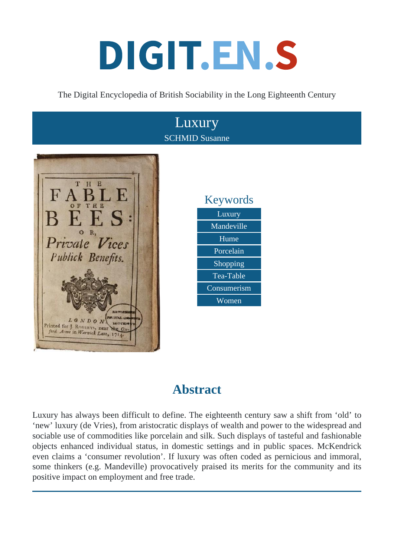# DIGIT.EN.S

#### The Digital Encyclopedia of British Sociability in the Long Eighteenth Century



## **Abstract**

Luxury has always been difficult to define. The eighteenth century saw a shift from 'old' to 'new' luxury (de Vries), from aristocratic displays of wealth and power to the widespread and sociable use of commodities like porcelain and silk. Such displays of tasteful and fashionable objects enhanced individual status, in domestic settings and in public spaces. McKendrick even claims a 'consumer revolution'. If luxury was often coded as pernicious and immoral, some thinkers (e.g. Mandeville) provocatively praised its merits for the community and its positive impact on employment and free trade.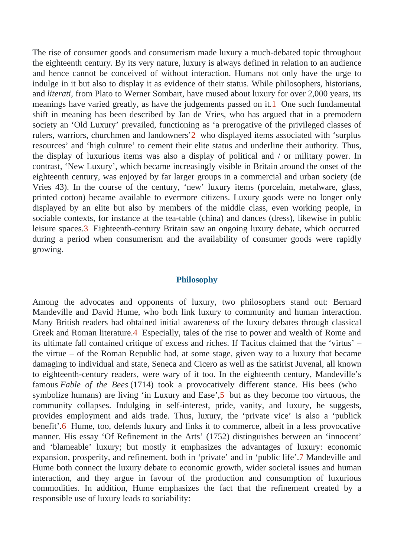The rise of consumer goods and consumerism made luxury a much-debated topic throughout the eighteenth century. By its very nature, luxury is always defined in relation to an audience and hence cannot be conceived of without interaction. Humans not only have the urge to indulge in it but also to display it as evidence of their status. While philosophers, historians, and literati, from Plato to Werner Sombart, have mused about luxury for over 2,000 years, its meanings have varied greatly, as have the judgements passed Omet such fundamental shift in meaning has been described by Jan de Vries, who has argued that in a premoder society an 'Old Luxury' prevailed, functioning as 'a prerogative of the privileged classes of rulers, warriors, churchmen and landowners the displayed items associated with 'surplus resources' and 'high culture' to cement their elite status and underline their authority. Thus, the display of luxurious items was also a display of political and / or military power. In contrast, 'New Luxury', which became increasingly visible in Britain around the onset of the eighteenth century, was enjoyed by far larger groups in a commercial and urban society (de Vries 43). In the course of the century, 'new' luxury items (porcelain, metalware, glass, printed cotton) became available to evermore citizens. Luxury goods were no longer only displayed by an elite but also by members of the middle class, even working people, in sociable contexts, for instance at the tea-table (china) and dances (dress), likewise in public leisure space<sup>3</sup>. Eighteenth-century Britain saw an ongoing luxury debate, which occurred during a period when consumerism and the availability of consumer goods were rapidly growing.

#### Philosophy

Among the advocates and opponents of luxury, two philosophers stand out: Bernard Mandeville and David Hume, who both link luxury to community and human interaction. Many British readers had obtained initial awareness of the luxury debates through classical Greek and Roman literatule. Especially, tales of the rise to power and wealth of Rome and its ultimate fall contained critique of excess and riches. If Tacitus claimed that the 'virtus' – the virtue – of the Roman Republic had, at some stage, given way to a luxury that became damaging to individual and state, Seneca and Cicero as well as the satirist Juvenal, all known to eighteenth-century readers, were wary of it too. In the eighteenth century, Mandeville's famous Fable of the Bees (714) took a provocatively different stance. His bees (who symbolize humans) are living 'in Luxury and Easebut as they become too virtuous, the community collapses. Indulging in self-interest, pride, vanity, and luxury, he suggests, provides employment and aids trade. Thus, luxury, the 'private vice' is also a 'publick benefit'.6 Hume, too, defends luxury and links it to commerce, albeit in a less provocative manner. His essay 'Of Refinement in the Arts' (1752) distinguishes between an 'innocent' and 'blameable' luxury; but mostly it emphasizes the advantages of luxury: economic expansion, prosperity, and refinement, both in 'private' and in 'public life'andeville and Hume both connect the luxury debate to economic growth, wider societal issues and human interaction, and they argue in favour of the production and consumption of luxurious commodities. In addition, Hume emphasizes the fact that the refinement created by a responsible use of luxury leads to sociability: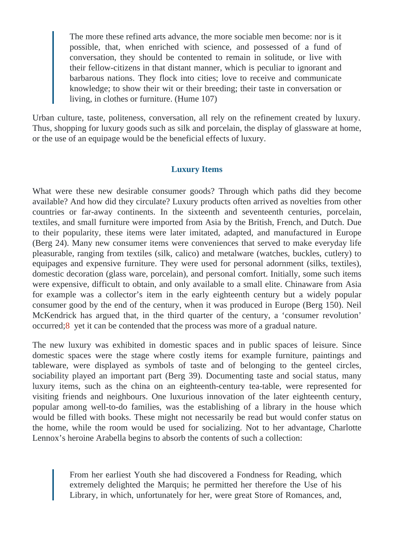The more these refined arts advance, the more sociable men beconiset possible, that, when enriched with science, and possessed of a fund of conversation, they should be contented to remain in solitude, or live with their fellow-citizens in that distant manner, which is peculiar to ignorant and barbarous nations. They flock into cities; love to receive and communicate knowledge; to show their wit or their breeding; their taste in conversation or living, in clothes or furniture. (Hume 107)

Urban culture, taste, politeness, conversation, all rely on the refinement created by luxury. Thus, shopping for luxury goods such as silk and porcelain, the display of glassware at home, or the use of an equipage would be the beneficial effects of luxury.

#### Luxury Items

What were these new desirable consumer goods? Through which paths did they become available? And how did they circulate? Luxury products often arrived as novelties from other countries or far-away continents. In the sixteenth and seventeenth centuries, porcelain, textiles, and small furniture were imported from Asia by the British, French, and Dutch. Due to their popularity, these items were later imitated, adapted, and manufactured in Europe (Berg 24). Many new consumer items were conveniences that served to make everyday life pleasurable, ranging from textiles (silk, calico) and metalware (watches, buckles, cutlery) to equipages and expensive furniture. They were used for personal adornment (silks, textiles), domestic decoration (glass ware, porcelain), and personal comfort. Initially, some such items were expensive, difficult to obtain, and only available to a small elite. Chinaware from Asia for example was a collector's item in the early eighteenth century but a widely popular consumer good by the end of the century, when it was produced in Europe (Berg 150). Neil McKendrick has argued that, in the third quarter of the century, a 'consumer revolution' occurred<sup>8</sup> yet it can be contended that the process was more of a gradual nature.

The new luxury was exhibited in domestic spaces and in public spaces of leisure. Since domestic spaces were the stage where costly items for example furniture, paintings and tableware, were displayed as symbols of taste and of belonging to the genteel circles, sociability played an important part (Berg 39). Documenting taste and social status, many luxury items, such as the china on an eighteenth-century tea-table, were represented for visiting friends and neighbours. One luxurious innovation of the later eighteenth century, popular among well-to-do families, was the establishing of a library in the house which would be filled with books. These might not necessarily be read but would confer status on the home, while the room would be used for socializing. Not to her advantage, Charlotte Lennox's heroine Arabella begins to absorb the contents of such a collection:

> From her earliest Youth she had discovered a Fondness for Reading, which extremely delighted the Marquis; he permitted her therefore the Use of his Library, in which, unfortunately for her, were great Store of Romances, and,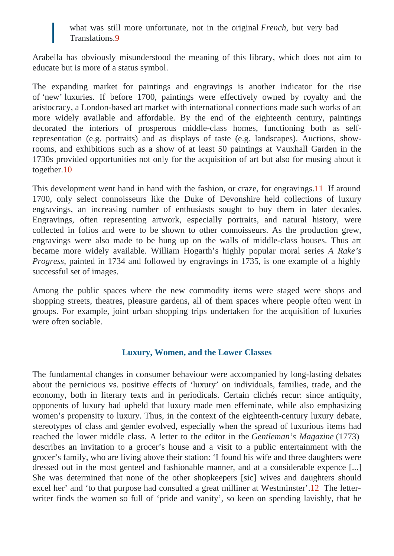what was still more unfortunate, not in the original nch, but very bad Translation<sup>9</sup>

Arabella has obviously misunderstood the meaning of this library, which does not aim to educate but is more of a status symbol.

The expanding market for paintings and engravings is another indicator for the rise of 'new' luxuries. If before 1700, paintings were effectively owned by royalty and the aristocracy, a London-based art market with international connections made such works of art more widely available and affordable. By the end of the eighteenth century, paintings decorated the interiors of prosperous middle-class homes, functioning both as selfrepresentation (e.g. portraits) and as displays of taste (e.g. landscapes). Auctions, showrooms, and exhibitions such as a show of at least 50 paintings at Vauxhall Garden in the 1730s provided opportunities not only for the acquisition of art but also for musing about it together<sup>10</sup>

This development went hand in hand with the fashion, or craze, for engraving sound 1700, only select connoisseurs like the Duke of Devonshire held collections of luxury engravings, an increasing number of enthusiasts sought to buy them in later decades Engravings, often representing artwork, especially portraits, and natural history, were collected in folios and were to be shown to other connoisseurs. As the production grew, engravings were also made to be hung up on the walls of middle-class houses. Thus are became more widely available. William Hogarth's highly popular moral seriesake's Progress, painted in 1734 and followed by engravings in 1735, is one example of a highly successful set of images.

Among the public spaces where the new commodity items were staged were shops and shopping streets, theatres, pleasure gardens, all of them spaces where people often went groups. For example, joint urban shopping trips undertaken for the acquisition of luxuries were often sociable.

#### Luxury, Women, and the Lower Classes

The fundamental changes in consumer behaviour were accompanied by long-lasting debate about the pernicious vs. positive effects of 'luxury' on individuals, families, trade, and the economy, both in literary texts and in periodicals. Certain clichés recur: since antiquity, opponents of luxury had upheld that luxury made men effeminate, while also emphasizing women's propensity to luxury. Thus, in the context of the eighteenth-century luxury debate, stereotypes of class and gender evolved, especially when the spread of luxurious items ha reached the lower middle class. A letter to the editor in Guernal is Magazin (4773) describes an invitation to a grocer's house and a visit to a public entertainment with the grocer's family, who are living above their station: 'I found his wife and three daughters were dressed out in the most genteel and fashionable manner, and at a considerable expence [. She was determined that none of the other shopkeepers [sic] wives and daughters shoul excel her' and 'to that purpose had consulted a great milliner at Westmin Stenhichterwriter finds the women so full of 'pride and vanity', so keen on spending lavishly, that he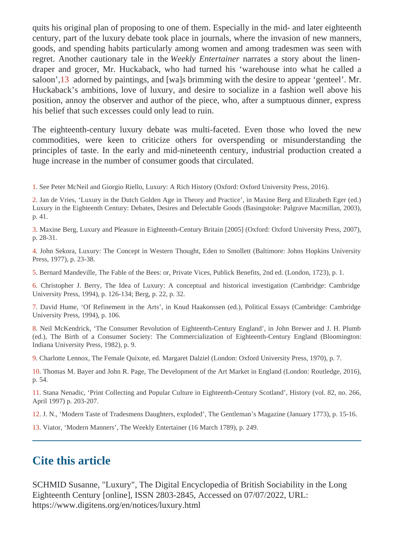quits his original plan of proposing to one of them. Especially in the mid- and later eighteenth century, part of the luxury debate took place in journals, where the invasion of new manners, goods, and spending habits particularly among women and among tradesmen was seen with regret. Another cautionary tale in the ekly Entertainen arrates a story about the linendraper and grocer, Mr. Huckaback, who had turned his 'warehouse into what he called a saloon',13 adorned by paintings, and [wa]s brimming with the desire to appear 'genteel'. Mr. Huckaback's ambitions, love of luxury, and desire to socialize in a fashion well above his position, annoy the observer and author of the piroup, after a sumptuous dinner, express his belief that such excesses could only lead to ruin.

The eighteenth-century luxury debate was multi-faceted. Even those who loved the new commodities, were keen to criticize others for overspending or misunderstanding the principles of taste. In the early and mid-nineteenth century, industrial production created a huge increase in the number of consumer goods that circulated.

1. See Peter McNeil and Giorgio Riello, Luxury: A Rich History (Oxford: Oxford University Press, 2016).

2. Jan de Vries, 'Luxury in the Dutch Golden Age in Theory and Practice', in Maxine Berg and Elizabeth Eger (ed.) Luxury in the Eighteenth Century: Debates, Desires and Delectable Goods (Basingstoke: Palgrave Macmillan, 2003), p. 41.

3. Maxine Berg, Luxury and Pleasure in Eighteenth-Century Britain [2005] (Oxford: Oxford University Press, 2007), p. 28-31.

4. John Sekora, Luxury: The Concept in Western Thought, Eden to Smollett (Baltimore: Johns Hopkins University Press, 1977), p. 23-38.

5. Bernard Mandeville, The Fable of the Bees: or, Private Vices, Publick Benefits, 2nd ed. (London, 1723), p. 1.

6. Christopher J. Berry, The Idea of Luxury: A conceptual and historical investigation (Cambridge: Cambridge University Press, 1994), p. 126-134; Berg, p. 22, p. 32.

7. David Hume, 'Of Refinement in the Arts', in Knud Haakonssen (ed.), Political Essays (Cambridge: Cambridge University Press, 1994), p. 106.

8. Neil McKendrick, 'The Consumer Revolution of Eighteenth-Century England', in John Brewer and J. H. Plumb (ed.), The Birth of a Consumer Society: The Commercialization of Eighteenth-Century England (Bloomington: Indiana University Press, 1982), p. 9.

9. Charlotte Lennox, The Female Quixote, ed. Margaret Dalziel (London: Oxford University Press, 1970), p. 7.

10. Thomas M. Bayer and John R. Page, The Development of the Art Market in England (London: Routledge, 2016), p. 54.

11. Stana Nenadic, 'Print Collecting and Popular Culture in Eighteenth-Century Scotland', History (vol. 82, no. 266, April 1997) p. 203-207.

12. J. N., 'Modern Taste of Tradesmens Daughters, exploded', The Gentleman's Magazine (January 1773), p. 15-16.

13. Viator, 'Modern Manners', The Weekly Entertainer (16 March 1789), p. 249.

## Cite this article

SCHMID Susanne, "Luxury", The Digital Encyclopedia of British Sociability in the Long Eighteenth Centur [online], ISSN 2803-2845, Accessed on 07/07/2022, URL: https://www.digitens.org/en/notices/luxury.html